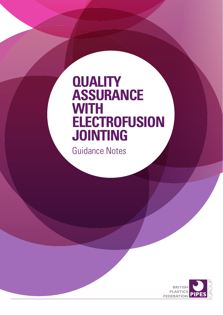# **QUALITY ASSURANCE WITH ELECTROFUSION JOINTING**

Guidance Notes

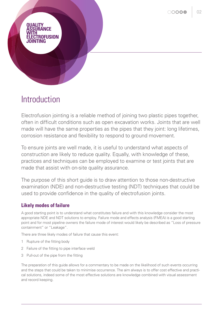

## Introduction

Electrofusion jointing is a reliable method of joining two plastic pipes together, often in difficult conditions such as open excavation works. Joints that are well made will have the same properties as the pipes that they joint: long lifetimes, corrosion resistance and flexibility to respond to ground movement.

To ensure joints are well made, it is useful to understand what aspects of construction are likely to reduce quality. Equally, with knowledge of these, practices and techniques can be employed to examine or test joints that are made that assist with on-site quality assurance.

The purpose of this short guide is to draw attention to those non-destructive examination (NDE) and non-destructive testing (NDT) techniques that could be used to provide confidence in the quality of electrofusion joints.

## **Likely modes of failure**

A good starting point is to understand what constitutes failure and with this knowledge consider the most appropriate NDE and NDT solutions to employ. Failure mode and effects analysis (FMEA) is a good starting point and for most pipeline owners the failure mode of interest would likely be described as "Loss of pressure containment" or "Leakage".

There are three likely modes of failure that cause this event:

- 1 Rupture of the fitting body
- 2 Failure of the fitting to pipe interface weld
- 3 Pull-out of the pipe from the fitting

The preparation of this guide allows for a commentary to be made on the likelihood of such events occurring and the steps that could be taken to minimise occurrence. The aim always is to offer cost effective and practical solutions, indeed some of the most effective solutions are knowledge combined with visual assessment and record keeping.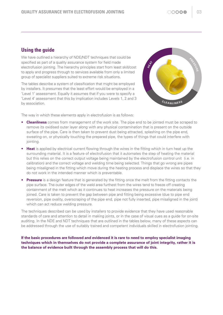## **Using the guide**

We have outlined a hierarchy of NDE/NDT techniques that could be specified as part of a quality assurance system for field made electrofusion jointing. The hierarchy principles start from least skill/cost to apply and progress through to services available from only a limited group of specialist suppliers suited to extreme risk situations.

The tables describe a system of classification that might be employed by installers. It presumes that the least effort would be employed in a 'Level 1' assessment. Equally it assumes that if you were to specify a 'Level 4' assessment that this by implication includes Levels 1, 2 and 3 by association.



The way in which these elements apply in electrofusion is as follows:

- **Cleanliness** comes from management of the work site. The pipe end to be jointed must be scraped to remove its oxidised outer layer along with any physical contamination that is present on the outside surface of the pipe. Care is then taken to prevent dust being attracted, splashing on the pipe end, sweating on, or physically touching the prepared pipe, the types of things that could interfere with jointing.
- **Heat** is applied by electrical current flowing through the wires in the fitting which in turn heat up the surrounding material. It is a feature of electrofusion that it automates the step of heating the material but this relies on the correct output voltage being maintained by the electrofusion control unit (i.e. in calibration) and the correct voltage and welding time being selected. Things that go wrong are pipes being misaligned in the fitting which move during the heating process and displace the wires so that they do not work in the intended manner which is preventable.
- **Pressure** is a design feature that is generated by the fitting once the melt from the fitting contacts the pipe surface. The outer edges of the weld area furthest from the wires tend to freeze off creating containment of the melt which as it continues to heat increases the pressure on the materials being joined. Care is taken to prevent the gap between pipe and fitting being excessive (due to pipe end reversion, pipe ovality, overscraping of the pipe end, pipe not fully inserted, pipe misaligned in the joint) which can act reduce welding pressure.

The techniques described can be used by installers to provide evidence that they have used reasonable standards of care and attention to detail in making joints, or in the case of visual cues as a guide for on-site auditing. In the NDE and NDT techniques that are outlined in the tables below, many of these aspects can be addressed through the use of suitably trained and competent individuals skilled in electrofusion jointing.

**If the basic procedures are followed and evidenced it is rare to need to employ specialist imaging techniques which in themselves do not provide a complete assurance of joint integrity, rather it is the balance of evidence built through the assembly process that will do this.**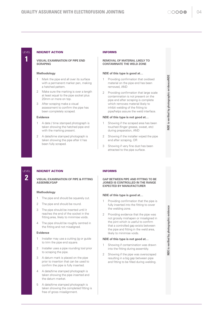#### NDE/NDT ACTION

**VISUAL EXAMINATION OF PIPE END SCRAPING**

#### **Methodology**

- 1 Mark the pipe end all over its surface with a permanent marker pen, making a hatched pattern.
- Make sure the marking is over a length at least equal to the pipe socket plus 20mm or more on top.
- After scraping make a visual assessment to confirm the pipe has been completely scraped.

#### **Evidence**

- 1 A date / time stamped photograph is taken showing the hatched pipe end with the marking present.
- A date/time stamped photograph is taken showing the pipe after it has been fully scraped.

#### INFORMS

#### **REMOVAL OF MATERIAL LIKELY TO CONTAMINATE THE WELD ZONE**

#### **NDE of this type is good at…**

- 1 Providing confirmation that oxidised material on the pipe end has been removed, AND
- 2 Providing confirmation that large scale contamination is not present on the pipe end after scraping is complete which removes material likely to inhibit welding of the fitting to pipe/helps assure the weld interface.

#### **NDE of this type is not good at…**

- Showing if the scraped area has been touched (finger grease, sweat, etc) during preparation, AND
- 2 Showing if the installer wiped the pipe end after scraping, OR
- 3 Showing if very fine dust has been attracted to the pipe surface.

#### NDE/NDT ACTION

**VISUAL EXAMINATION OF PIPE & FITTING ASSEMBLYGAP**

#### **Methodology**

LEVEL **2**

- 1 The pipe end should be squarely cut.
- 2 The pipe end should be round.
- 3 The pipe should be inserted until it reaches the end of the socket in the fitting.area, likely to minimise voids.
- 4 The pipe should be roughly centred in the fitting and not misaligned.

#### **Evidence**

- 1 Installer may use a cutting jig or guide to trim the pipe end square.
- 2 Installer uses a pipe rounding tool prior to scraping the pipe.
- 3 A datum mark is placed on the pipe prior to insertion that can be used to confirm the pipe is fully inserted.
- 4 A date/time stamped photograph is taken showing the pipe inserted and the datum market.
- 5 A date/time stamped photograph is taken showing the completed fitting is free of gross misalignment.

#### INFORMS

#### **GAP BETWEEN PIPE AND FITTING TO BE JOINED IS CONTROLLED IN THE RANGE EXPECTED BY MANUFACTURER**

#### **NDE of this type is good at…**

- 1 Providing confirmation that the pipe is fully inserted into the fitting to cover the welding zone.
- 2 Providing evidence that the pipe was not grossly mishapen or misaligned in the joint which is useful to confirm that a controlled gap exists between the pipe and fitting in the weld area, likely to minimise voids.

#### **NDE of this type is not good at…**

- Showing if contamination was drawn into the fitting during assembly.
- 2 Showing if the pipe was overscraped resulting in a big gap between pipe and fitting to be filled during welding.



**NDE is verified by photographic evidenceNDE**

E

is verified by photographic evidenceNDE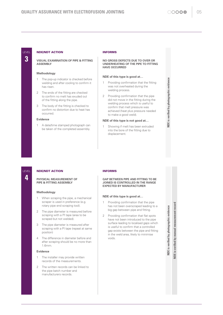**NDE is verified by photographic evidence**

NDE is verified by photographic evidence

**NDE is verified by photographic evidence NDE is verified by manual measurement record**

**NDE** is verified by manual measurement record NDE is verified by photographic evidence

## LEVEL **3**

#### NDE/NDT ACTION

**VISUAL EXAMINATION OF PIPE & FITTING ASSEMBLY**

#### **Methodology**

- 1 The pop-up indicator is checked before welding and after cooling to confirm it has risen.
- 2 The ends of the fitting are checked to confirm no melt has exuded out of the fitting along the pipe.
- 3 The body of the fitting is checked to confirm no distortion due to heat has occurred.

#### **Evidence**

1 A date/time stamped photograph can be taken of the completed assembly.

#### INFORMS

#### **NO GROSS DEFECTS DUE TO OVER OR UNDERHEATING OF THE PIPE TO FITTING HAVE OCCURRED**

#### **NDE of this type is good at…**

- 1 Providing confirmation that the fitting was not overheated during the welding process.
- 2 Providing confirmation that the pipe did not move in the fitting during the welding process which is useful to confirm that melt pressure was achieved (heat plus pressure needed to make a good weld).

#### **NDE of this type is not good at…**

1 Showing if melt has been extruded into the bore of the fitting due to displacement.

#### NDE/NDT ACTION

LEVEL **4**

**PHYSICAL MEASUREMENT OF PIPE & FITTING ASSEMBLY**

#### **Methodology**

- 1 When scraping the pipe, a mechanical scraper is used in preference (e.g. rotary pipe end scraping tool).
- 2 The pipe diameter is measured before scraping with a PI tape (area to be scraped but not welded).
- 3 The pipe diameter is measured after scraping with a PI tape (repeat at same position)
- The difference in diameter before and after scraping should be no more than 1.6mm.

#### **Evidence**

- The installer may provide written records of the measurements.
- 2 The written records can be linked to the pipe batch number and manufacturers records.

#### INFORMS

#### **GAP BETWEEN PIPE AND FITTING TO BE JOINED IS CONTROLLED IN THE RANGE EXPECTED BY MANUFACTURER**

#### **NDE of this type is good at…**

- 1 Providing confirmation that the pipe has not been overscraped leading to a big gap between pipe and fitting.
- 2 Providing confirmation that flat spots have not been introduced to the pipe surface leading to localised gaps which is useful to confirm that a controlled gap exists between the pipe and fitting in the weld area, likely to minimise voids.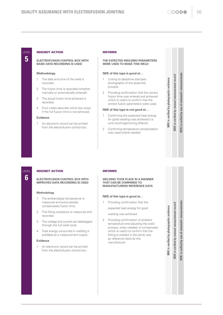#### NDE/NDT ACTION

#### **ELECTROFUSION CONTROL BOX WITH BASIC DATA RECORDING IS USED**

#### **Methodology**

- 1 The date and time of the weld is recorded.
- 2 The fusion time is recorded (whether manually or automatically entered).
- 3 The actual fusion time achieved is recorded.
- 4 Error codes describe which box stops if the full fusion time is not achieved.

#### **Evidence**

1 An electronic record can be printed from the electrofusion control box.

#### INFORMS

#### **THE EXPECTED WEILDING PARAMETERS WERE USED TO MAKE THIS WELD**

#### **NDE of this type is good at…**

- 1 Linking to date/time stamped photographs of the assembly process.
- 2 Providing confirmation that the correct fusion time was entered and achieved which is useful to confirm that the correct fusion parameters were used.

#### **NDE of this type is not good at…**

- Confirming the expected heat energy for good welding was achieved (i.e. wire touching/shorting effects).
- 2 Confirming temperature compensation was used where needed.

### NDE/NDT ACTION

LEVEL **6**

**ELECTROFUSION CONTROL BOX WITH IMPROVED DATA RECORDING IS USED**

#### **Methodology**

- 1 The ambient/pipe temperature is measured and automatically compensates fusion time.
- 2 The fitting resistance is measured and recorded.
- 3 The voltage and current are datalogged through the full weld cycle.
- 4 Total energy consumed in welding is available as a measurement output.

#### **Evidence**

1 An electronic record can be printed from the electrofusion control box.

#### INFORMS

#### **WELDING TOOK PLACE IN A MANNER THAT CAN BE COMPARED TO MANUFACTURERS REFERENCE DATA**

#### **NDE of this type is good at…**

1 Providing confirmation that the expected heat energy for good

welding was achieved

2 Providing confirmation of ambient temperature and adjusting the weld process, when needed, to compensate which is useful to confirm that the fitting is welded in the same way as reference tests by the manufacturer.

automatic measurements **NDE is verfied by use of automatic measurements NDE** is verfied by use of

NDE is verified by manual measurement record NDE is verified by photographic evidence

**NDE is verfied by use of automatic measurements**

NDE is verfied by use of

automatic measurements

**NDE is verified by photographic evidence NDE is verified by manual measurement record**

**VDE** is verified by manual measurement record NDE is verified by photographic evidence

**NDE is verified by photographic evidence NDE is verified by manual measurement record**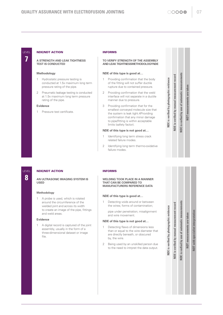#### NDE/NDT ACTION

#### **A STRENGTH AND LEAK TIGHTNESS TEST IS CONDUCTED**

#### **Methodology**

- 1 Hydrostatic pressure testing is conducted at 1.5x maximum long term pressure rating of the pipe.
- 2 Pneumatic leakage testing is conducted at 1.5x maximum long term pressure rating of the pipe.

#### **Evidence**

1 Pressure test certificate.

#### INFORMS

#### **TO VERIFY STRENGTH OF THE ASSEMBLY AND LEAK TIGHTNESSMETHODOLOGYNDE**

#### **NDE of this type is good at…**

- 1 Providing confirmation that the body of the fitting will not suffer ductile rupture due to contained pressure.
- 2 Providing confirmation that the weld interface will not separate in a ductile manner due to pressure.
- 3 Providing confirmation that for the smallest conveyed molecule size that the system is leak tight.4Providing confirmation that any minor damage to pipe/fitting is within acceptable limits (safety factor).

#### **NDE of this type is not good at…**

- 1 Identifying long term stress crack related failure modes.
- 2 Identifying long term thermo-oxidative failure modes.

## automatic measurements taken **NDT measurements are taken** measurements are

**NDE is verified by photographic evidence NDE is verified by manual measurement record**

NDE is verified by manual measurement record NDE is verified by photographic evidence

**NDE is verfied by use of automatic measurements NDE** is verfied by use of **IDL** 

## LEVEL **8**

#### NDE/NDT ACTION

**AN ULTRASONIC IMAGING SYSTEM IS USED**

#### **Methodology**

1 A probe is used, which is rotated around the circumference of the welded joint and across its width to create an image of the pipe, fittings and weld areas.

#### **Evidence**

1 A digital record is captured of the joint assembly, usually in the form of a three-dimensional dataset or image file.

#### INFORMS

#### **WELDING TOOK PLACE IN A MANNER THAT CAN BE COMPARED TO MANUFACTURERS REFERENCE DATA**

#### **NDE of this type is good at…**

1 Detecting voids around or between the wires; forms of contamination;

pipe under penetration; misalignment and wire movement.

#### **NDE of this type is not good at…**

- 1 Detecting flaws of dimensions less than or equal to the wire diameter that are directly beneath, or obscured by, the wire.
- 2 Being used by an unskilled person due to the need to intrpret the data output.

automatic measurements **NDE is verfied by use of automatic measurements** NDT measurements are taken **NDT measurements are taken**  $\overline{\bullet}$ NDE is verfied by use

**NDE is verified by photographic evidence NDE is verified by manual measurement record**

**VDE** is verified by manual measurement record NDE is verified by photographic evidence

**NDT with specialist interpretation**

**NDT** with specialist interpretation